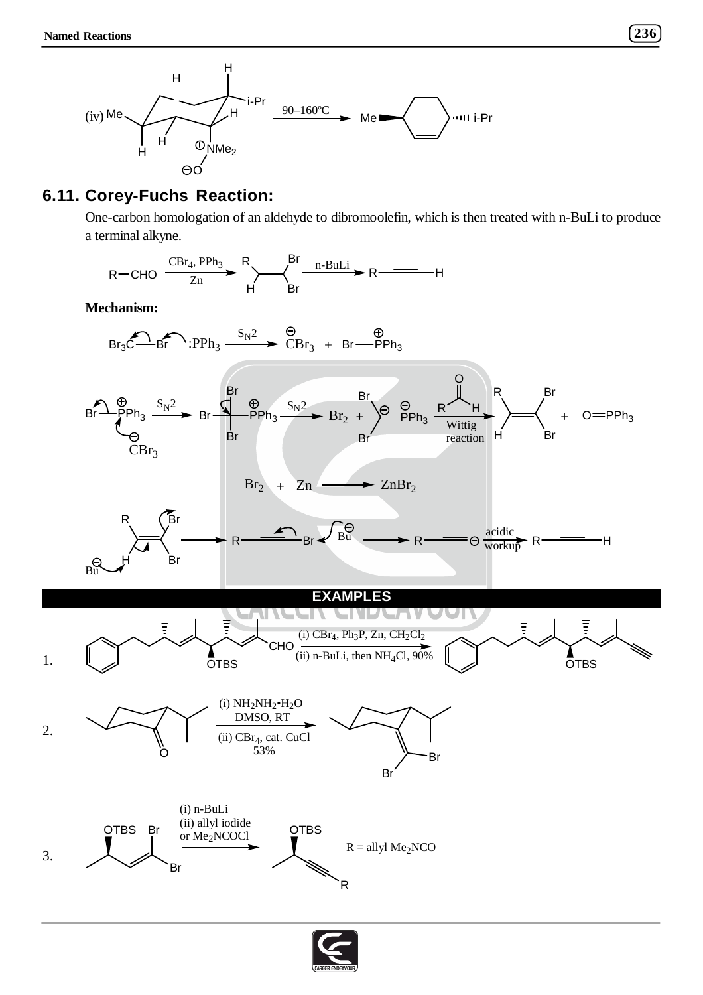

## **6.11. Corey-Fuchs Reaction:**

One-carbon homologation of an aldehyde to dibromoolefin, which is then treated with n-BuLi to produce a terminal alkyne.



**Mechanism:**

$$
\text{Br}_3\overset{\bigodot}{\underset{\smile}{\bigodot}}\text{Br}^{\bullet}:\text{PPh}_3\xrightarrow{\text{S}_\text{N}2\xrightarrow{\hspace{0.8cm}\bigodot}}\overset{\bigodot}{\underset{\smile}{\bigodot}}\text{Br}\overset{\oplus}{\underset{\smile}{\bigodot}}\text{PPh}_3
$$